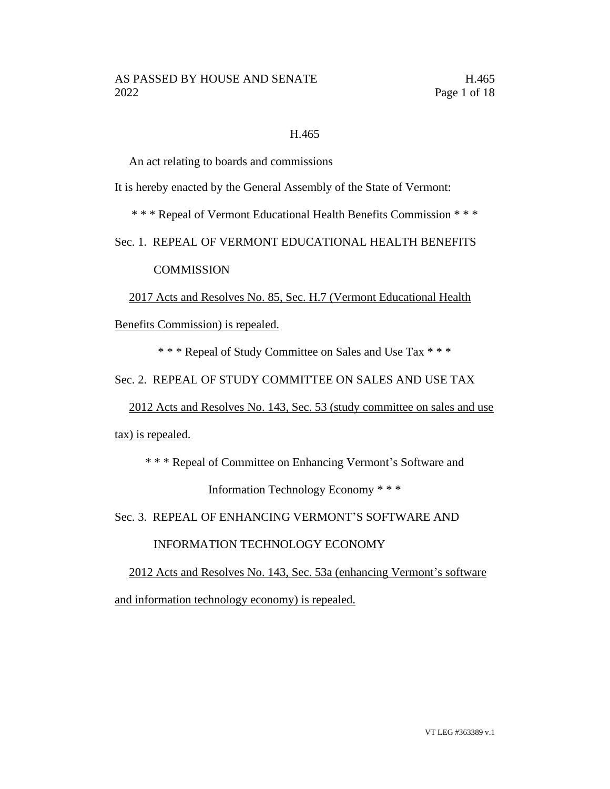## H.465

An act relating to boards and commissions

It is hereby enacted by the General Assembly of the State of Vermont:

\* \* \* Repeal of Vermont Educational Health Benefits Commission \* \* \*

Sec. 1. REPEAL OF VERMONT EDUCATIONAL HEALTH BENEFITS

**COMMISSION** 

2017 Acts and Resolves No. 85, Sec. H.7 (Vermont Educational Health

Benefits Commission) is repealed.

\* \* \* Repeal of Study Committee on Sales and Use Tax \* \* \*

Sec. 2. REPEAL OF STUDY COMMITTEE ON SALES AND USE TAX

2012 Acts and Resolves No. 143, Sec. 53 (study committee on sales and use

tax) is repealed.

\* \* \* Repeal of Committee on Enhancing Vermont's Software and

Information Technology Economy \* \* \*

Sec. 3. REPEAL OF ENHANCING VERMONT'S SOFTWARE AND

INFORMATION TECHNOLOGY ECONOMY

2012 Acts and Resolves No. 143, Sec. 53a (enhancing Vermont's software and information technology economy) is repealed.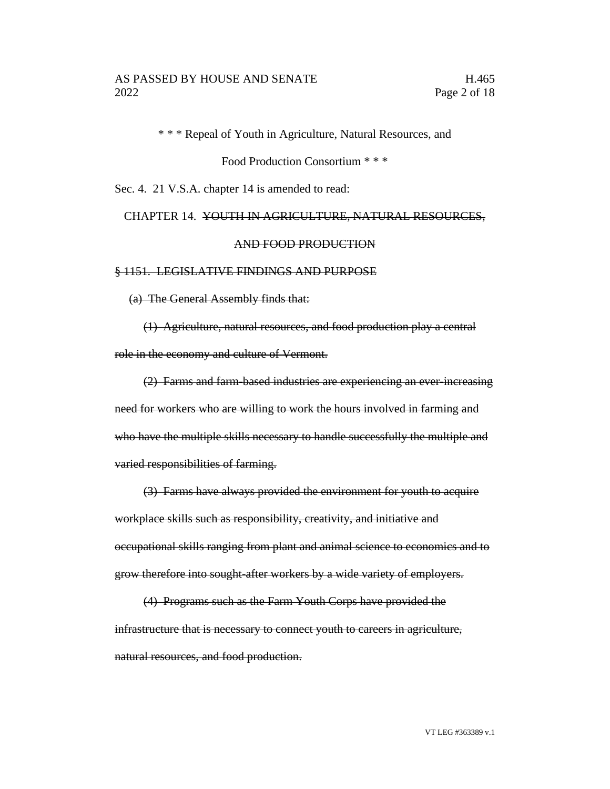\* \* \* Repeal of Youth in Agriculture, Natural Resources, and

Food Production Consortium \* \* \*

Sec. 4. 21 V.S.A. chapter 14 is amended to read:

## CHAPTER 14. YOUTH IN AGRICULTURE, NATURAL RESOURCES, AND FOOD PRODUCTION

#### § 1151. LEGISLATIVE FINDINGS AND PURPOSE

(a) The General Assembly finds that:

(1) Agriculture, natural resources, and food production play a central role in the economy and culture of Vermont.

(2) Farms and farm-based industries are experiencing an ever-increasing need for workers who are willing to work the hours involved in farming and who have the multiple skills necessary to handle successfully the multiple and varied responsibilities of farming.

(3) Farms have always provided the environment for youth to acquire workplace skills such as responsibility, creativity, and initiative and occupational skills ranging from plant and animal science to economics and to grow therefore into sought-after workers by a wide variety of employers.

(4) Programs such as the Farm Youth Corps have provided the infrastructure that is necessary to connect youth to careers in agriculture, natural resources, and food production.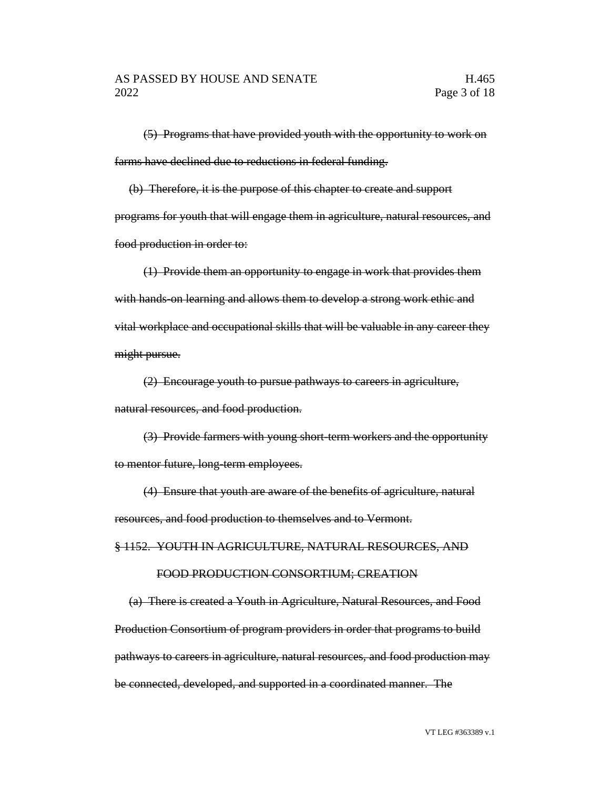(5) Programs that have provided youth with the opportunity to work on farms have declined due to reductions in federal funding.

(b) Therefore, it is the purpose of this chapter to create and support programs for youth that will engage them in agriculture, natural resources, and food production in order to:

(1) Provide them an opportunity to engage in work that provides them with hands-on learning and allows them to develop a strong work ethic and vital workplace and occupational skills that will be valuable in any career they might pursue.

(2) Encourage youth to pursue pathways to careers in agriculture, natural resources, and food production.

(3) Provide farmers with young short-term workers and the opportunity to mentor future, long-term employees.

(4) Ensure that youth are aware of the benefits of agriculture, natural resources, and food production to themselves and to Vermont.

§ 1152. YOUTH IN AGRICULTURE, NATURAL RESOURCES, AND

#### FOOD PRODUCTION CONSORTIUM; CREATION

(a) There is created a Youth in Agriculture, Natural Resources, and Food Production Consortium of program providers in order that programs to build pathways to careers in agriculture, natural resources, and food production may be connected, developed, and supported in a coordinated manner. The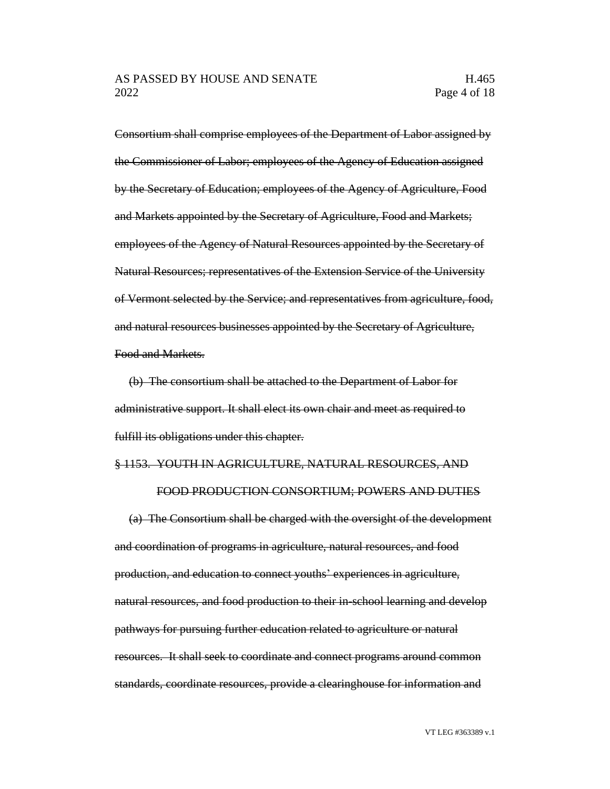Consortium shall comprise employees of the Department of Labor assigned by the Commissioner of Labor; employees of the Agency of Education assigned by the Secretary of Education; employees of the Agency of Agriculture, Food and Markets appointed by the Secretary of Agriculture, Food and Markets; employees of the Agency of Natural Resources appointed by the Secretary of Natural Resources; representatives of the Extension Service of the University of Vermont selected by the Service; and representatives from agriculture, food, and natural resources businesses appointed by the Secretary of Agriculture, Food and Markets.

(b) The consortium shall be attached to the Department of Labor for administrative support. It shall elect its own chair and meet as required to fulfill its obligations under this chapter.

#### § 1153. YOUTH IN AGRICULTURE, NATURAL RESOURCES, AND

#### FOOD PRODUCTION CONSORTIUM; POWERS AND DUTIES

(a) The Consortium shall be charged with the oversight of the development and coordination of programs in agriculture, natural resources, and food production, and education to connect youths' experiences in agriculture, natural resources, and food production to their in-school learning and develop pathways for pursuing further education related to agriculture or natural resources. It shall seek to coordinate and connect programs around common standards, coordinate resources, provide a clearinghouse for information and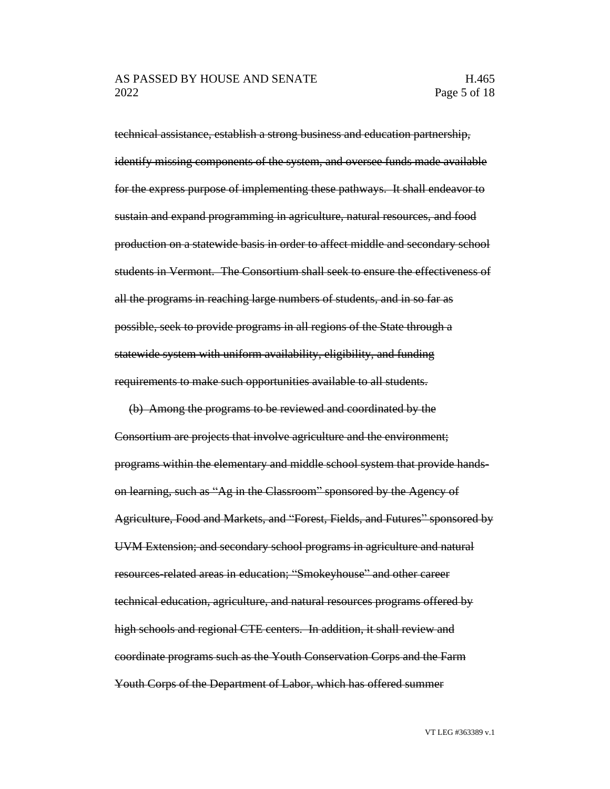technical assistance, establish a strong business and education partnership, identify missing components of the system, and oversee funds made available for the express purpose of implementing these pathways. It shall endeavor to sustain and expand programming in agriculture, natural resources, and food production on a statewide basis in order to affect middle and secondary school students in Vermont. The Consortium shall seek to ensure the effectiveness of all the programs in reaching large numbers of students, and in so far as possible, seek to provide programs in all regions of the State through a statewide system with uniform availability, eligibility, and funding requirements to make such opportunities available to all students.

(b) Among the programs to be reviewed and coordinated by the Consortium are projects that involve agriculture and the environment; programs within the elementary and middle school system that provide handson learning, such as "Ag in the Classroom" sponsored by the Agency of Agriculture, Food and Markets, and "Forest, Fields, and Futures" sponsored by UVM Extension; and secondary school programs in agriculture and natural resources-related areas in education; "Smokeyhouse" and other career technical education, agriculture, and natural resources programs offered by high schools and regional CTE centers. In addition, it shall review and coordinate programs such as the Youth Conservation Corps and the Farm Youth Corps of the Department of Labor, which has offered summer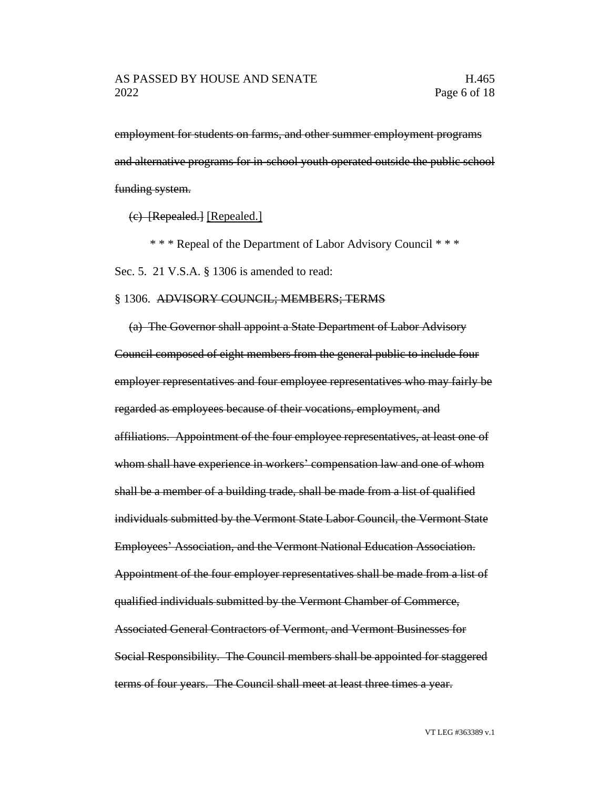employment for students on farms, and other summer employment programs and alternative programs for in-school youth operated outside the public school funding system.

(c) [Repealed.] [Repealed.]

\* \* \* Repeal of the Department of Labor Advisory Council \* \* \*

Sec. 5. 21 V.S.A. § 1306 is amended to read:

#### § 1306. ADVISORY COUNCIL; MEMBERS; TERMS

(a) The Governor shall appoint a State Department of Labor Advisory Council composed of eight members from the general public to include four employer representatives and four employee representatives who may fairly be regarded as employees because of their vocations, employment, and affiliations. Appointment of the four employee representatives, at least one of whom shall have experience in workers' compensation law and one of whom shall be a member of a building trade, shall be made from a list of qualified individuals submitted by the Vermont State Labor Council, the Vermont State Employees' Association, and the Vermont National Education Association. Appointment of the four employer representatives shall be made from a list of qualified individuals submitted by the Vermont Chamber of Commerce, Associated General Contractors of Vermont, and Vermont Businesses for Social Responsibility. The Council members shall be appointed for staggered terms of four years. The Council shall meet at least three times a year.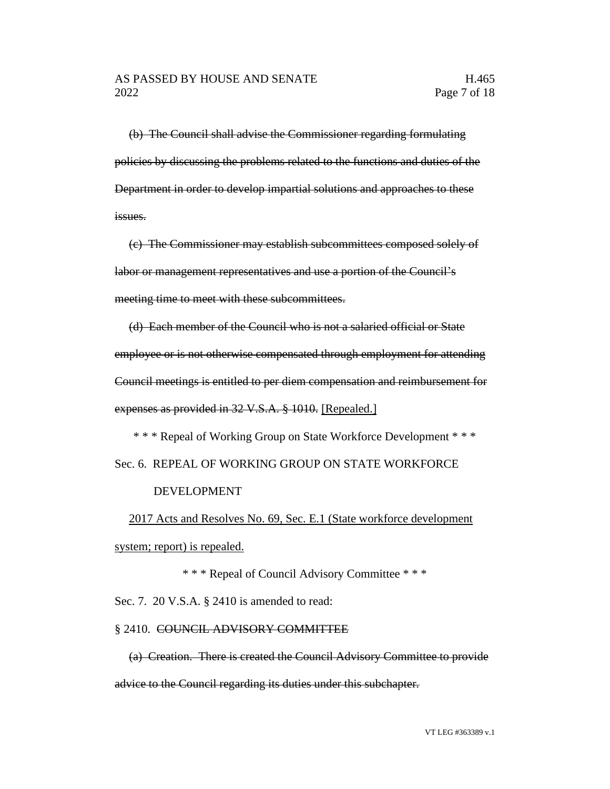(b) The Council shall advise the Commissioner regarding formulating policies by discussing the problems related to the functions and duties of the Department in order to develop impartial solutions and approaches to these issues.

(c) The Commissioner may establish subcommittees composed solely of labor or management representatives and use a portion of the Council's meeting time to meet with these subcommittees.

(d) Each member of the Council who is not a salaried official or State employee or is not otherwise compensated through employment for attending Council meetings is entitled to per diem compensation and reimbursement for expenses as provided in 32 V.S.A. § 1010. [Repealed.]

\* \* \* Repeal of Working Group on State Workforce Development \* \* \* Sec. 6. REPEAL OF WORKING GROUP ON STATE WORKFORCE

#### DEVELOPMENT

2017 Acts and Resolves No. 69, Sec. E.1 (State workforce development system; report) is repealed.

\* \* \* Repeal of Council Advisory Committee \* \* \*

Sec. 7. 20 V.S.A. § 2410 is amended to read:

#### § 2410. COUNCIL ADVISORY COMMITTEE

(a) Creation. There is created the Council Advisory Committee to provide advice to the Council regarding its duties under this subchapter.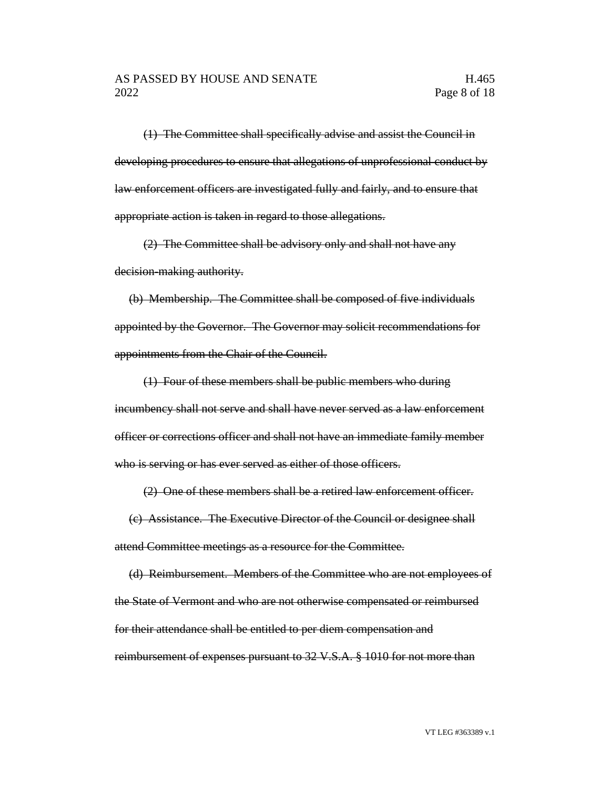(1) The Committee shall specifically advise and assist the Council in developing procedures to ensure that allegations of unprofessional conduct by law enforcement officers are investigated fully and fairly, and to ensure that appropriate action is taken in regard to those allegations.

(2) The Committee shall be advisory only and shall not have any decision-making authority.

(b) Membership. The Committee shall be composed of five individuals appointed by the Governor. The Governor may solicit recommendations for appointments from the Chair of the Council.

(1) Four of these members shall be public members who during incumbency shall not serve and shall have never served as a law enforcement officer or corrections officer and shall not have an immediate family member who is serving or has ever served as either of those officers.

(2) One of these members shall be a retired law enforcement officer.

(c) Assistance. The Executive Director of the Council or designee shall attend Committee meetings as a resource for the Committee.

(d) Reimbursement. Members of the Committee who are not employees of the State of Vermont and who are not otherwise compensated or reimbursed for their attendance shall be entitled to per diem compensation and reimbursement of expenses pursuant to 32 V.S.A. § 1010 for not more than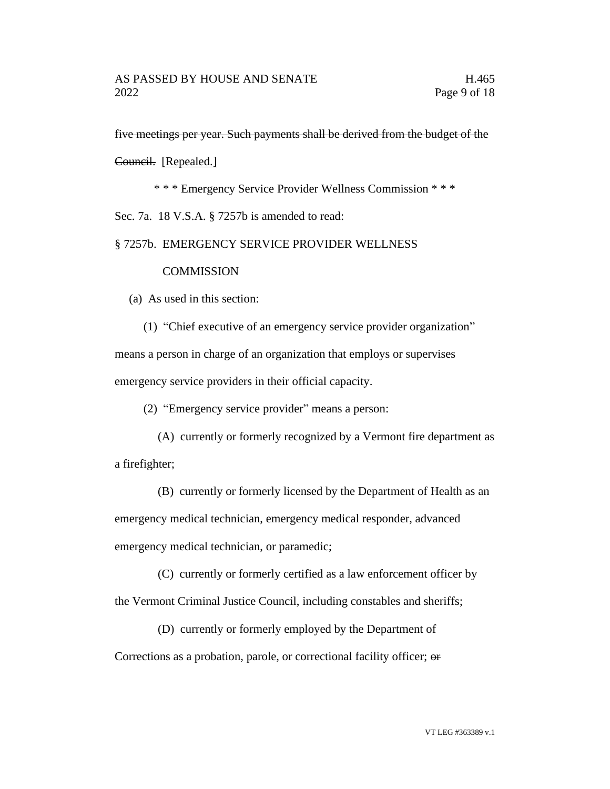five meetings per year. Such payments shall be derived from the budget of the

Council. [Repealed.]

\* \* \* Emergency Service Provider Wellness Commission \* \* \*

Sec. 7a. 18 V.S.A. § 7257b is amended to read:

#### § 7257b. EMERGENCY SERVICE PROVIDER WELLNESS

#### **COMMISSION**

(a) As used in this section:

(1) "Chief executive of an emergency service provider organization" means a person in charge of an organization that employs or supervises emergency service providers in their official capacity.

(2) "Emergency service provider" means a person:

(A) currently or formerly recognized by a Vermont fire department as a firefighter;

(B) currently or formerly licensed by the Department of Health as an emergency medical technician, emergency medical responder, advanced emergency medical technician, or paramedic;

(C) currently or formerly certified as a law enforcement officer by the Vermont Criminal Justice Council, including constables and sheriffs;

(D) currently or formerly employed by the Department of

Corrections as a probation, parole, or correctional facility officer; or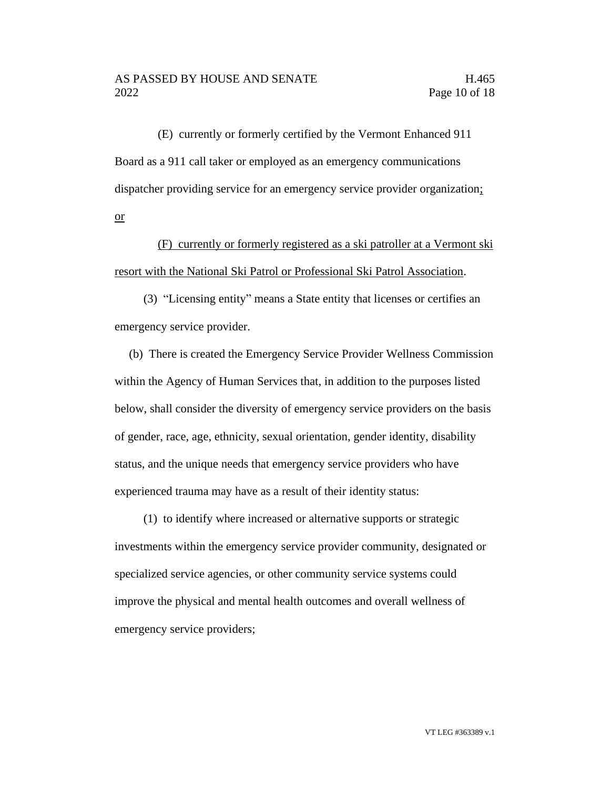(E) currently or formerly certified by the Vermont Enhanced 911 Board as a 911 call taker or employed as an emergency communications dispatcher providing service for an emergency service provider organization; or

(F) currently or formerly registered as a ski patroller at a Vermont ski resort with the National Ski Patrol or Professional Ski Patrol Association.

(3) "Licensing entity" means a State entity that licenses or certifies an emergency service provider.

(b) There is created the Emergency Service Provider Wellness Commission within the Agency of Human Services that, in addition to the purposes listed below, shall consider the diversity of emergency service providers on the basis of gender, race, age, ethnicity, sexual orientation, gender identity, disability status, and the unique needs that emergency service providers who have experienced trauma may have as a result of their identity status:

(1) to identify where increased or alternative supports or strategic investments within the emergency service provider community, designated or specialized service agencies, or other community service systems could improve the physical and mental health outcomes and overall wellness of emergency service providers;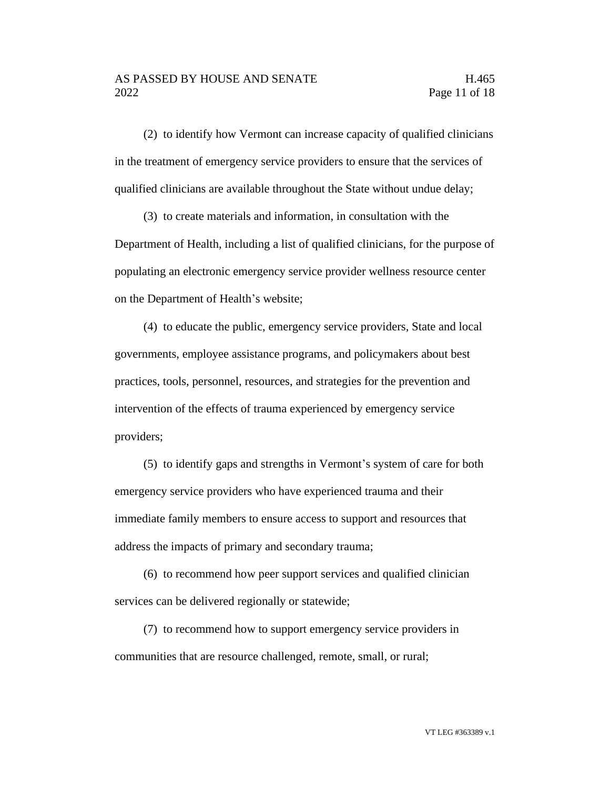(2) to identify how Vermont can increase capacity of qualified clinicians in the treatment of emergency service providers to ensure that the services of qualified clinicians are available throughout the State without undue delay;

(3) to create materials and information, in consultation with the Department of Health, including a list of qualified clinicians, for the purpose of populating an electronic emergency service provider wellness resource center on the Department of Health's website;

(4) to educate the public, emergency service providers, State and local governments, employee assistance programs, and policymakers about best practices, tools, personnel, resources, and strategies for the prevention and intervention of the effects of trauma experienced by emergency service providers;

(5) to identify gaps and strengths in Vermont's system of care for both emergency service providers who have experienced trauma and their immediate family members to ensure access to support and resources that address the impacts of primary and secondary trauma;

(6) to recommend how peer support services and qualified clinician services can be delivered regionally or statewide;

(7) to recommend how to support emergency service providers in communities that are resource challenged, remote, small, or rural;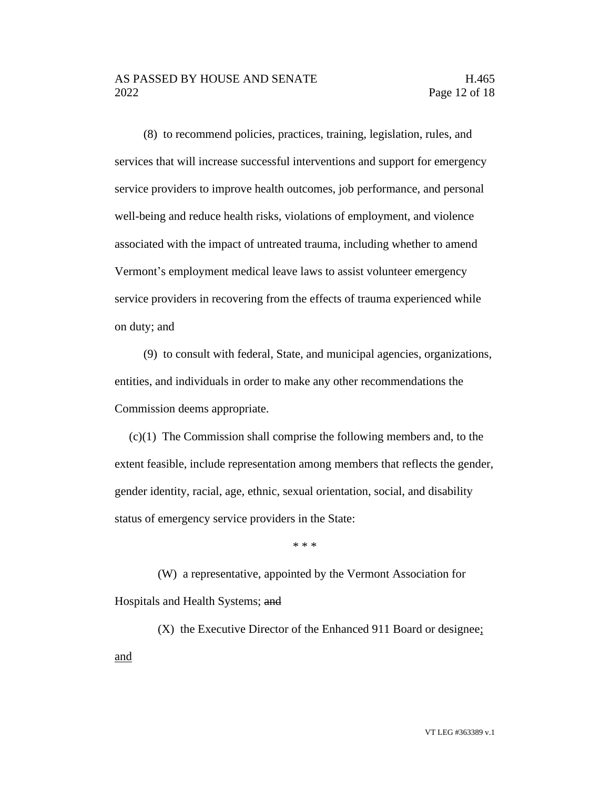### AS PASSED BY HOUSE AND SENATE FOR THE H.465 2022 Page 12 of 18

(8) to recommend policies, practices, training, legislation, rules, and services that will increase successful interventions and support for emergency service providers to improve health outcomes, job performance, and personal well-being and reduce health risks, violations of employment, and violence associated with the impact of untreated trauma, including whether to amend Vermont's employment medical leave laws to assist volunteer emergency service providers in recovering from the effects of trauma experienced while on duty; and

(9) to consult with federal, State, and municipal agencies, organizations, entities, and individuals in order to make any other recommendations the Commission deems appropriate.

(c)(1) The Commission shall comprise the following members and, to the extent feasible, include representation among members that reflects the gender, gender identity, racial, age, ethnic, sexual orientation, social, and disability status of emergency service providers in the State:

\* \* \*

(W) a representative, appointed by the Vermont Association for Hospitals and Health Systems; and

(X) the Executive Director of the Enhanced 911 Board or designee; and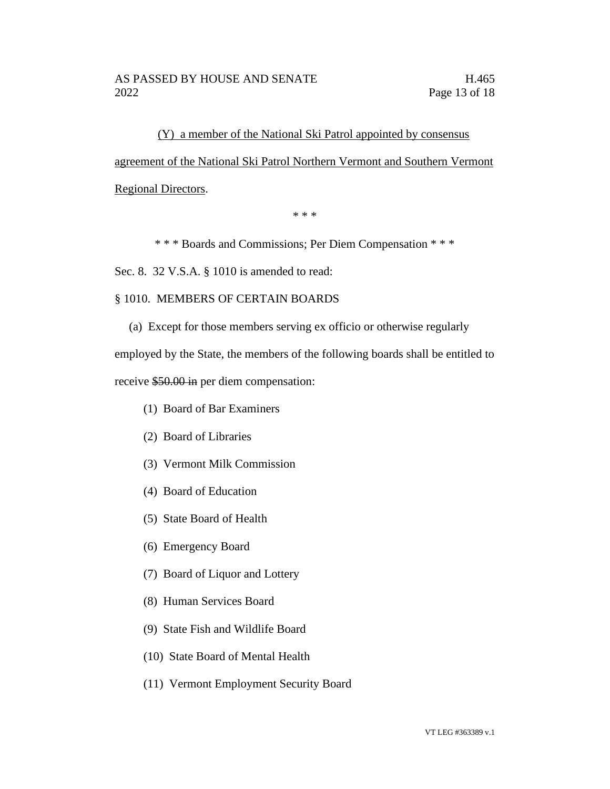(Y) a member of the National Ski Patrol appointed by consensus agreement of the National Ski Patrol Northern Vermont and Southern Vermont Regional Directors.

\* \* \*

\* \* \* Boards and Commissions; Per Diem Compensation \* \* \*

Sec. 8. 32 V.S.A. § 1010 is amended to read:

## § 1010. MEMBERS OF CERTAIN BOARDS

(a) Except for those members serving ex officio or otherwise regularly

employed by the State, the members of the following boards shall be entitled to

receive \$50.00 in per diem compensation:

- (1) Board of Bar Examiners
- (2) Board of Libraries
- (3) Vermont Milk Commission
- (4) Board of Education
- (5) State Board of Health
- (6) Emergency Board
- (7) Board of Liquor and Lottery
- (8) Human Services Board
- (9) State Fish and Wildlife Board
- (10) State Board of Mental Health
- (11) Vermont Employment Security Board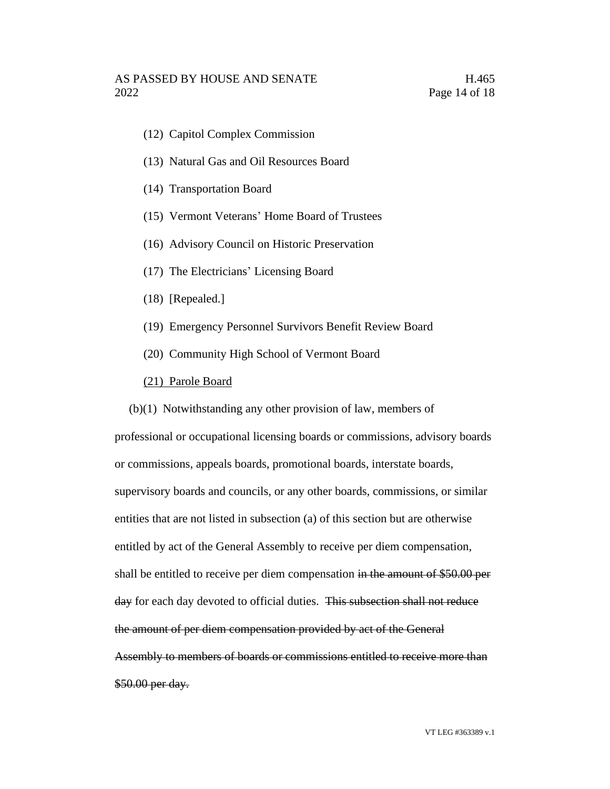- (12) Capitol Complex Commission
- (13) Natural Gas and Oil Resources Board
- (14) Transportation Board
- (15) Vermont Veterans' Home Board of Trustees
- (16) Advisory Council on Historic Preservation
- (17) The Electricians' Licensing Board
- (18) [Repealed.]
- (19) Emergency Personnel Survivors Benefit Review Board
- (20) Community High School of Vermont Board
- (21) Parole Board

(b)(1) Notwithstanding any other provision of law, members of professional or occupational licensing boards or commissions, advisory boards or commissions, appeals boards, promotional boards, interstate boards, supervisory boards and councils, or any other boards, commissions, or similar entities that are not listed in subsection (a) of this section but are otherwise entitled by act of the General Assembly to receive per diem compensation, shall be entitled to receive per diem compensation in the amount of \$50.00 per day for each day devoted to official duties. This subsection shall not reduce the amount of per diem compensation provided by act of the General Assembly to members of boards or commissions entitled to receive more than \$50.00 per day.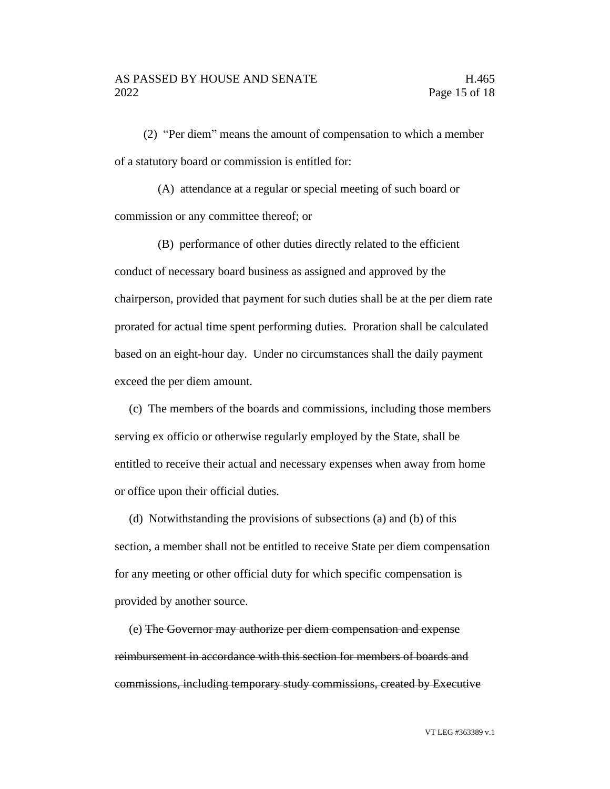(2) "Per diem" means the amount of compensation to which a member of a statutory board or commission is entitled for:

(A) attendance at a regular or special meeting of such board or commission or any committee thereof; or

(B) performance of other duties directly related to the efficient conduct of necessary board business as assigned and approved by the chairperson, provided that payment for such duties shall be at the per diem rate prorated for actual time spent performing duties. Proration shall be calculated based on an eight-hour day. Under no circumstances shall the daily payment exceed the per diem amount.

(c) The members of the boards and commissions, including those members serving ex officio or otherwise regularly employed by the State, shall be entitled to receive their actual and necessary expenses when away from home or office upon their official duties.

(d) Notwithstanding the provisions of subsections (a) and (b) of this section, a member shall not be entitled to receive State per diem compensation for any meeting or other official duty for which specific compensation is provided by another source.

(e) The Governor may authorize per diem compensation and expense reimbursement in accordance with this section for members of boards and commissions, including temporary study commissions, created by Executive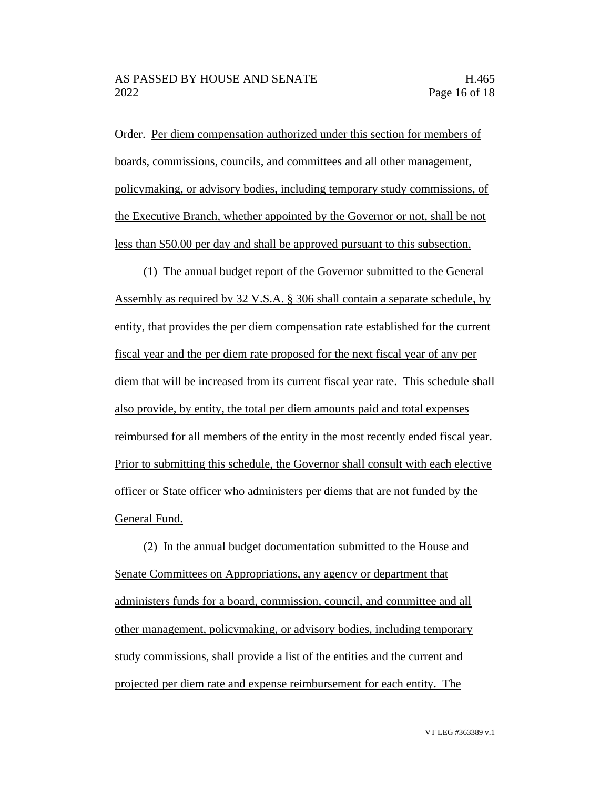Order. Per diem compensation authorized under this section for members of boards, commissions, councils, and committees and all other management, policymaking, or advisory bodies, including temporary study commissions, of the Executive Branch, whether appointed by the Governor or not, shall be not less than \$50.00 per day and shall be approved pursuant to this subsection.

(1) The annual budget report of the Governor submitted to the General Assembly as required by 32 V.S.A. § 306 shall contain a separate schedule, by entity, that provides the per diem compensation rate established for the current fiscal year and the per diem rate proposed for the next fiscal year of any per diem that will be increased from its current fiscal year rate. This schedule shall also provide, by entity, the total per diem amounts paid and total expenses reimbursed for all members of the entity in the most recently ended fiscal year. Prior to submitting this schedule, the Governor shall consult with each elective officer or State officer who administers per diems that are not funded by the General Fund.

(2) In the annual budget documentation submitted to the House and Senate Committees on Appropriations, any agency or department that administers funds for a board, commission, council, and committee and all other management, policymaking, or advisory bodies, including temporary study commissions, shall provide a list of the entities and the current and projected per diem rate and expense reimbursement for each entity. The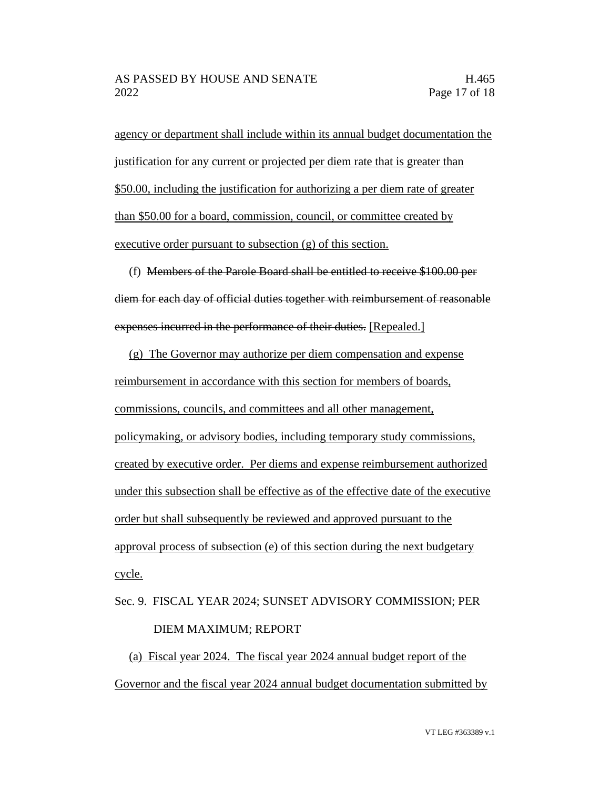agency or department shall include within its annual budget documentation the justification for any current or projected per diem rate that is greater than \$50.00, including the justification for authorizing a per diem rate of greater than \$50.00 for a board, commission, council, or committee created by executive order pursuant to subsection (g) of this section.

(f) Members of the Parole Board shall be entitled to receive \$100.00 per diem for each day of official duties together with reimbursement of reasonable expenses incurred in the performance of their duties. [Repealed.]

(g) The Governor may authorize per diem compensation and expense reimbursement in accordance with this section for members of boards, commissions, councils, and committees and all other management, policymaking, or advisory bodies, including temporary study commissions, created by executive order. Per diems and expense reimbursement authorized under this subsection shall be effective as of the effective date of the executive order but shall subsequently be reviewed and approved pursuant to the approval process of subsection (e) of this section during the next budgetary cycle.

# Sec. 9. FISCAL YEAR 2024; SUNSET ADVISORY COMMISSION; PER DIEM MAXIMUM; REPORT

(a) Fiscal year 2024. The fiscal year 2024 annual budget report of the Governor and the fiscal year 2024 annual budget documentation submitted by